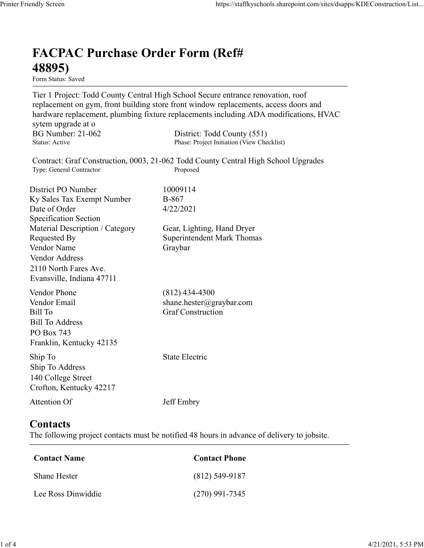## FACPAC Purchase Order Form (Ref# 48895)

Form Status: Saved

Tier 1 Project: Todd County Central High School Secure entrance renovation, roof replacement on gym, front building store front window replacements, access doors and hardware replacement, plumbing fixture replacements including ADA modifications, HVAC sytem upgrade at o https://staffkyschools.sharepoint.com/sites/dsapps/KDEConstructic<br> **FACPAC Purchase Order Form (Ref#**<br> **FERENC PURENC PURENC COUNT COUNT COUNT COUNTER**<br>
Tier 1 Project: Todd County Central High School Secure entrance renov https://staffkyschools.sharepoint.com/sites/dsapps/KDEConstructic<br> **FACPAC Purchase Order Form (Ref#**<br>
Form States: Saved<br>
Form States: Saved<br>
Tier 1 Project: Todd County Central High School Secure entrance renovation, roo Contract: Graf Construction, 0003, 21-062 Todd County Central High School Upgrades https://staffkyschools.sharepoint.com/sites/dsarps/KDFConstructic<br> **FACPAC Purchase Order Form (Ref#**<br>
Form Status: Saved<br>
Form Status: Saved<br>
Form Status: Saved<br>
Terpleicet: Todd County Central High School Secure entrance FACPAC Purchase Order Form (Ref#<br>
48895)<br>
Form Status: Saved<br>
Tier 1 Project: Todd County Central High School Sceure entrance renovation, roof<br>
replacement on gym, front building store front window replacements, access doo **FACPAC Purchase Order Form (Ref#**<br> **48895)**<br>
Form Stans: Saved<br>
Form Stans: Saved<br>
Ter 1 Project: Todd County Central High School Sceure entrance renovation, roof<br>
replacement on gym, front building store front window re **FACPAC Purchase Order Form (Ref#**<br> **48895)**<br>
Form Status: Saved<br>
Tier 1 Project: Todd County Central High School Secure entrance renovation, roof<br>
replacement on gym, front building store front window replacements, access Specification Section **FACPAC Purchase Order Form (Ref#**<br> **48895)**<br>
Form Status. Saved<br>
Terr 1 Project: Todd County Central High School Secure entrance renovation, roof<br>
Teplacement on gym, front building store front window replacements, acces **48895)**<br>
Form Status: Saved<br>
Tier 1 Project: Todd County Central High School Secure entrance renovation, roof<br>
replacement on gym, front building store front window replacements, access doors and<br>
hardware replacement, pl **From States:** Swed<br> **From States:** Swed<br>
Tree The Project: Todd County Central High School Sceure entrance renovation, roof<br>
replacement on gym, front building store front window replacements, access doors and<br>
hardware r Vendor Address 2110 North Fares Ave. Evansville, Indiana 47711 nardware replacements, multimary and the system upgrade at o<br>sytem upgrade at o<br>BG Number: 21-062 District: Todd County (551)<br>Status: Active<br>BG Number<br>Contract: Graf Construction, 0003, 21-062 Todd County Central High Scho sytem upgrade at 0<br>
BG Number: 21-662 District: Todd County (551)<br>
Status: Active Phase: Project Initiation (View Checklist)<br>
Status: Active PO Number<br>
District: Graf Construction, 0003, 21-062 Todd County Central High Sch Bill Number: 21-062<br>
Bill Status: Active<br>
Bill Status: Active<br>
Thus: Project Initial Construction, 0003, 21-062 Todd County Central High School Upgrades<br>
Type: General Contractor<br>
District PO Number<br>
District PO Number<br>
Di Bill To Address PO Box 743 Franklin, Kentucky 42135 District PO Number<br>
I May Sales Tax Exempt Number<br>
IDate of Order<br>
Specification Section<br>
Specification Section<br>
Material Description / Category<br>
Gear, Lighting, Hand Dryer<br>
Nenders Requested By<br>
Vendor Name<br>
Vendor Name<br> Ship To Address 140 College Street Crofton, Kentucky 42217 Material Description / Category<br>
Requested By<br>
Requested By<br>
Nendor Name<br>
Vendor Address<br>
Vendor Address<br>
Vendor Address<br>
2110 North Fares Ave.<br>
Evansville, Indiana 47711<br>
Vendor Phone<br>
(812) 434-4300<br>
Vendor Phone<br>
(812) Example 1. Thunder 47711<br>
Condor Email<br>
Endor Email<br>
III To Boddress<br>
Contact Sill To Boddress<br>
Contact Contact Contact Contact Phone<br>
Contact Alexander 2017<br>
Contact Section<br>
Accords<br>
Contact Section<br>
Contact Name<br>
Contac Fendor Email<br>
Shane hester (@graybar.com<br>
Shill To Address<br>
Shill To Address<br>
To Box 743<br>
In Formucky 42135<br>
Any To State Electric<br>
The To Address<br>
The To Address<br>
Contact Exportance of delivery to jobsite.<br>
The Colocare C EVERT CO Room<br>
20 Hoox 743<br>
20 Hook 743<br>
20 Hook 743<br>
20 Hookey 42135<br>
20 Hookey State Electric<br>
20 College Street<br>
20 College Street<br>
20 Hookey 42217<br>
20 Hookey 42217<br>
20 Hookey 42217<br>
20 Hookey 42217<br>
20 Hookey A2217<br>
20

## **Contacts**

The following project contacts must be notified 48 hours in advance of delivery to jobsite.

| Contact Name        | <b>Contact Phone</b> |
|---------------------|----------------------|
| <b>Shane Hester</b> | $(812)$ 549-9187     |
| Lee Ross Dinwiddie  | $(270)$ 991-7345     |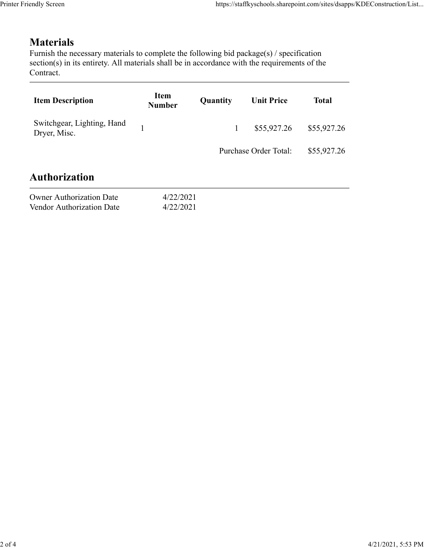## Materials

| endly Screen                                                                                                                                                                                                               |                              |              | https://staffkyschools.sharepoint.com/sites/dsapps/KDEConstruction/List |              |
|----------------------------------------------------------------------------------------------------------------------------------------------------------------------------------------------------------------------------|------------------------------|--------------|-------------------------------------------------------------------------|--------------|
| <b>Materials</b><br>Furnish the necessary materials to complete the following bid package(s) / specification<br>section(s) in its entirety. All materials shall be in accordance with the requirements of the<br>Contract. |                              |              |                                                                         |              |
| <b>Item Description</b>                                                                                                                                                                                                    | <b>Item</b><br><b>Number</b> | Quantity     | <b>Unit Price</b>                                                       | <b>Total</b> |
| Switchgear, Lighting, Hand<br>Dryer, Misc.                                                                                                                                                                                 | $\mathbf{1}$                 | $\mathbf{1}$ | \$55,927.26                                                             | \$55,927.26  |
|                                                                                                                                                                                                                            |                              |              | Purchase Order Total:                                                   | \$55,927.26  |
| <b>Authorization</b>                                                                                                                                                                                                       |                              |              |                                                                         |              |
| <b>Owner Authorization Date</b><br>Vendor Authorization Date                                                                                                                                                               | 4/22/2021<br>4/22/2021       |              |                                                                         |              |
|                                                                                                                                                                                                                            |                              |              |                                                                         |              |

| <b>Owner Authorization Date</b> | 4/22/202 |
|---------------------------------|----------|
| Vendor Authorization Date       | 4/22/202 |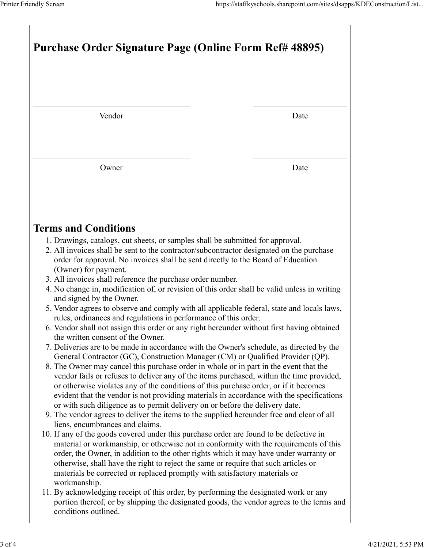| Purchase Order Signature Page (Online Form Ref# 48895)                                                                                                                                                                                                                                                                                                                                                                                                                                                                                                                                                                                                                                                                                                                                                                                                                                                                                                                                                                                                                                                                                                                                                                                                                                                                                                                                                                                                                                                                                                                                                                                                                                                                                                                                                                                                                                                                                                                                                                                                                                                                                              |      |
|-----------------------------------------------------------------------------------------------------------------------------------------------------------------------------------------------------------------------------------------------------------------------------------------------------------------------------------------------------------------------------------------------------------------------------------------------------------------------------------------------------------------------------------------------------------------------------------------------------------------------------------------------------------------------------------------------------------------------------------------------------------------------------------------------------------------------------------------------------------------------------------------------------------------------------------------------------------------------------------------------------------------------------------------------------------------------------------------------------------------------------------------------------------------------------------------------------------------------------------------------------------------------------------------------------------------------------------------------------------------------------------------------------------------------------------------------------------------------------------------------------------------------------------------------------------------------------------------------------------------------------------------------------------------------------------------------------------------------------------------------------------------------------------------------------------------------------------------------------------------------------------------------------------------------------------------------------------------------------------------------------------------------------------------------------------------------------------------------------------------------------------------------------|------|
|                                                                                                                                                                                                                                                                                                                                                                                                                                                                                                                                                                                                                                                                                                                                                                                                                                                                                                                                                                                                                                                                                                                                                                                                                                                                                                                                                                                                                                                                                                                                                                                                                                                                                                                                                                                                                                                                                                                                                                                                                                                                                                                                                     |      |
| Vendor                                                                                                                                                                                                                                                                                                                                                                                                                                                                                                                                                                                                                                                                                                                                                                                                                                                                                                                                                                                                                                                                                                                                                                                                                                                                                                                                                                                                                                                                                                                                                                                                                                                                                                                                                                                                                                                                                                                                                                                                                                                                                                                                              | Date |
| Owner                                                                                                                                                                                                                                                                                                                                                                                                                                                                                                                                                                                                                                                                                                                                                                                                                                                                                                                                                                                                                                                                                                                                                                                                                                                                                                                                                                                                                                                                                                                                                                                                                                                                                                                                                                                                                                                                                                                                                                                                                                                                                                                                               | Date |
|                                                                                                                                                                                                                                                                                                                                                                                                                                                                                                                                                                                                                                                                                                                                                                                                                                                                                                                                                                                                                                                                                                                                                                                                                                                                                                                                                                                                                                                                                                                                                                                                                                                                                                                                                                                                                                                                                                                                                                                                                                                                                                                                                     |      |
| <b>Terms and Conditions</b><br>1. Drawings, catalogs, cut sheets, or samples shall be submitted for approval.<br>2. All invoices shall be sent to the contractor/subcontractor designated on the purchase<br>order for approval. No invoices shall be sent directly to the Board of Education<br>(Owner) for payment.<br>3. All invoices shall reference the purchase order number.<br>4. No change in, modification of, or revision of this order shall be valid unless in writing<br>and signed by the Owner.<br>5. Vendor agrees to observe and comply with all applicable federal, state and locals laws,<br>rules, ordinances and regulations in performance of this order.<br>6. Vendor shall not assign this order or any right hereunder without first having obtained<br>the written consent of the Owner.<br>7. Deliveries are to be made in accordance with the Owner's schedule, as directed by the<br>General Contractor (GC), Construction Manager (CM) or Qualified Provider (QP).<br>8. The Owner may cancel this purchase order in whole or in part in the event that the<br>vendor fails or refuses to deliver any of the items purchased, within the time provided,<br>or otherwise violates any of the conditions of this purchase order, or if it becomes<br>evident that the vendor is not providing materials in accordance with the specifications<br>or with such diligence as to permit delivery on or before the delivery date.<br>9. The vendor agrees to deliver the items to the supplied hereunder free and clear of all<br>liens, encumbrances and claims.<br>10. If any of the goods covered under this purchase order are found to be defective in<br>material or workmanship, or otherwise not in conformity with the requirements of this<br>order, the Owner, in addition to the other rights which it may have under warranty or<br>otherwise, shall have the right to reject the same or require that such articles or<br>materials be corrected or replaced promptly with satisfactory materials or<br>workmanship.<br>11. By acknowledging receipt of this order, by performing the designated work or any |      |